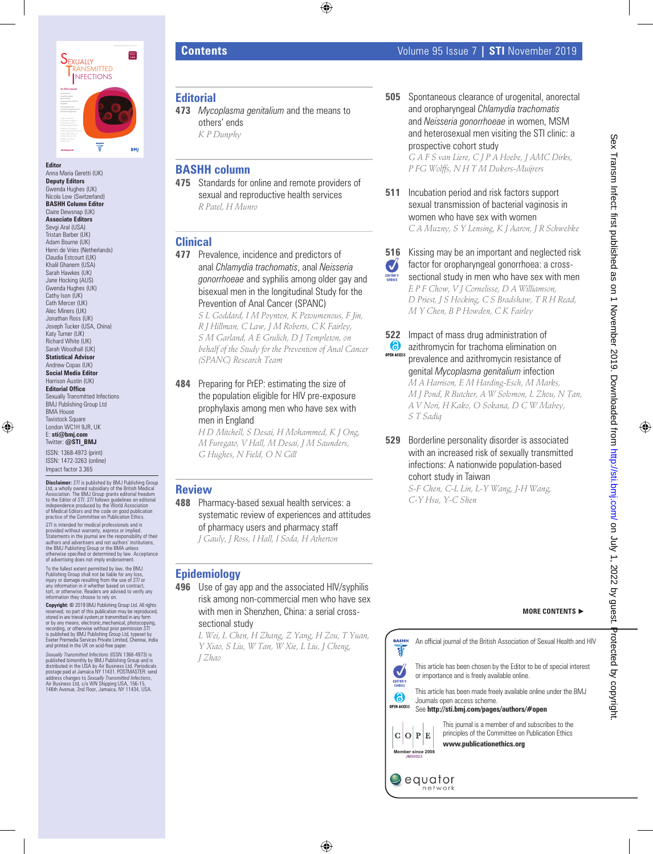

Anna Maria Geretti (UK) **Deputy Editors** Gwenda Hughes (UK) Nicola Low (Switzerland) **BASHH Column Editor** Claire Dewsnap (UK) **Associate Editors** Sevgi Aral (USA) Tristan Barber (UK) Adam Bourne (UK) Henri de Vries (Netherlands) Claudia Estcourt (UK) Khalil Ghanem (USA) Sarah Hawkes (UK) Jane Hocking (AUS) Gwenda Hughes (UK) Cathy Ison (UK) Cath Mercer (UK) Alec Miners (UK) Jonathan Ross (UK) Joseph Tucker (USA, China) Katy Turner (UK) Richard White (UK) Sarah Woodhall (UK) **Statistical Advisor** Andrew Copas (UK) **Social Media Editor** Harrison Austin (UK) **Editorial Office** Sexually Transmitted Infections BMJ Publishing Group Ltd BMA House

**Tavistock Square** London WC1H 9JR, UK E: **sti@bmj.com**

Twitter: **@STI\_BMJ**

ISSN: 1368-4973 (print) ISSN: 1472-3263 (online) Impact factor 3.365

**Disclaimer:** STI is published by BMJ Publishing Group<br>Ltd, a wholly owned subsidiary of the British Medical<br>Association. The BMJ Group grants editorial freedom<br>to the Editor of STI. STI follows guidelines on editorial<br>ind of Medical Editors and the code on good publication practice of the Committee on Publication Ethics.

S7/ is intended for medical professionals and is<br>provided without warranty, express or implied.<br>Statements in the journal are the responsibility of their<br>authors and advertisers and not authors' institutions,<br>the BMJ Publi otherwise specified or determined by law. Acceptance of advertising does not imply endorsement.

To the fullest extent permitted by law, the BMJ Publishing Group shall not be liable for any loss, injury or damage resulting from the use of *STI* or any information in it whether based on contract, tort, or otherwise. Readers are advised to verify any information they choose to rely on.

**Copyright: ©** 2019 BMJ Publishing Group Ltd. All rights reserved; no part of this publication may be reproduced,<br>stored in are trieval system,or transmitted in any form<br>or by any means, electronic,mechanical, photocopying,<br>recording, or otherwise without prior permission S71<br>is Exeter Premedia Services Private Limited, Chennai, India and printed in the UK on acid-free paper.

*Sexually Transmitted Infections* (ISSN 1368-4973) is published bimonthly by BMJ Publishing Group and is distributed in the USA by Air Business Ltd. Periodicals postage paid at Jamaica NY 11431. POSTMASTER: send address changes to *Sexually Transmitted Infections,*<br>Air Business Ltd, c/o WN Shipping USA, 156-15,<br>146th Avenue, 2nd Floor, Jamaica, NY 11434, USA.

- **Editorial**
- **473** *Mycoplasma genitalium* and the means to others' ends *K P Dunphy*

## **BASHH column**

**475** Standards for online and remote providers of sexual and reproductive health services *R Patel, H Munro*

## **Clinical**

**477** Prevalence, incidence and predictors of anal *Chlamydia trachomatis*, anal *Neisseria gonorrhoeae* and syphilis among older gay and bisexual men in the longitudinal Study for the Prevention of Anal Cancer (SPANC)

*S L Goddard, I M Poynten, K Petoumenous, F Jin, R J Hillman, C Law, J M Roberts, C K Fairley, S M Garland, A E Grulich, D J Templeton, on behalf of the Study for the Prevention of Anal Cancer (SPANC) Research Team*

**484** Preparing for PrEP: estimating the size of the population eligible for HIV pre-exposure prophylaxis among men who have sex with men in England

> *H D Mitchell, S Desai, H Mohammed, K J Ong, M Furegato, V Hall, M Desai, J M Saunders, G Hughes, N Field, O N Gill*

## **Review**

**488** Pharmacy-based sexual health services: a systematic review of experiences and attitudes of pharmacy users and pharmacy staff *J Gauly, J Ross, I Hall, I Soda, H Atherton*

## **Epidemiology**

**496** Use of gay app and the associated HIV/syphilis risk among non-commercial men who have sex with men in Shenzhen, China: a serial crosssectional study

> *L Wei, L Chen, H Zhang, Z Yang, H Zou, T Yuan, Y Xiao, S Liu, W Tan, W Xie, L Liu, J Cheng, J Zhao*

**505** Spontaneous clearance of urogenital, anorectal and oropharyngeal *Chlamydia trachomatis* and *Neisseria gonorrhoeae* in women, MSM and heterosexual men visiting the STI clinic: a prospective cohort study

*G A F S van Liere, C J P A Hoebe, J AMC Dirks, P FG Wolffs, N H T M Dukers-Muijrers*

**511** Incubation period and risk factors support sexual transmission of bacterial vaginosis in women who have sex with women *C A Muzny, S Y Lensing, K J Aaron, J R Schwebke*

### **516** Kissing may be an important and neglected risk factor for oropharyngeal gonorrhoea: a cross-Ø

- sectional study in men who have sex with men EDITOR'S *E P F Chow, V J Cornelisse, D A Williamson, D Priest, J S Hocking, C S Bradshaw, T R H Read, M Y Chen, B P Howden, C K Fairley*
- **522** Impact of mass drug administration of 6 azithromycin for trachoma elimination on **OPEN ACCES** prevalence and azithromycin resistance of genital *Mycoplasma genitalium* infection *M A Harrison, E M Harding-Esch, M Marks, M J Pond, R Butcher, A W Solomon, L Zhou, N Tan, A V Nori, H Kako, O Sokana, D C W Mabey, S T Sadiq*
- **529** Borderline personality disorder is associated with an increased risk of sexually transmitted infections: A nationwide population-based cohort study in Taiwan

*S-F Chen, C-L Lin, L-Y Wang, J-H Wang, C-Y Hsu, Y-C Shen*





This journal is a member of and subscribes to the principles of the Committee on Publication Ethics





**Member since 2008 JM00023**